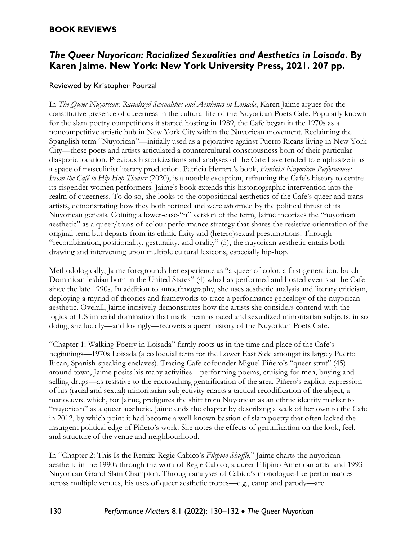## **BOOK REVIEWS**

## *The Queer Nuyorican: Racialized Sexualities and Aesthetics in Loisada***. By Karen Jaime. New York: New York University Press, 2021. 207 pp.**

## Reviewed by Kristopher Pourzal

In *The Queer Nuyorican: Racialized Sexualities and Aesthetics in Loisada*, Karen Jaime argues for the constitutive presence of queerness in the cultural life of the Nuyorican Poets Cafe. Popularly known for the slam poetry competitions it started hosting in 1989, the Cafe began in the 1970s as a noncompetitive artistic hub in New York City within the Nuyorican movement. Reclaiming the Spanglish term "Nuyorican"—initially used as a pejorative against Puerto Ricans living in New York City—these poets and artists articulated a countercultural consciousness born of their particular diasporic location. Previous historicizations and analyses of the Cafe have tended to emphasize it as a space of masculinist literary production. Patricia Herrera's book, *Feminist Nuyorican Performance: From the Café to Hip Hop Theater* (2020), is a notable exception, reframing the Cafe's history to centre its cisgender women performers. Jaime's book extends this historiographic intervention into the realm of queerness. To do so, she looks to the oppositional aesthetics of the Cafe's queer and trans artists, demonstrating how they both formed and were *in*formed by the political thrust of its Nuyorican genesis. Coining a lower-case-"n" version of the term, Jaime theorizes the "nuyorican aesthetic" as a queer/trans-of-colour performance strategy that shares the resistive orientation of the original term but departs from its ethnic fixity and (hetero)sexual presumptions. Through "recombination, positionality, gesturality, and orality" (5), the nuyorican aesthetic entails both drawing and intervening upon multiple cultural lexicons, especially hip-hop.

Methodologically, Jaime foregrounds her experience as "a queer of color, a first-generation, butch Dominican lesbian born in the United States" (4) who has performed and hosted events at the Cafe since the late 1990s. In addition to autoethnography, she uses aesthetic analysis and literary criticism, deploying a myriad of theories and frameworks to trace a performance genealogy of the nuyorican aesthetic. Overall, Jaime incisively demonstrates how the artists she considers contend with the logics of US imperial domination that mark them as raced and sexualized minoritarian subjects; in so doing, she lucidly—and lovingly—recovers a queer history of the Nuyorican Poets Cafe.

"Chapter 1: Walking Poetry in Loisada" firmly roots us in the time and place of the Cafe's beginnings—1970s Loisada (a colloquial term for the Lower East Side amongst its largely Puerto Rican, Spanish-speaking enclaves). Tracing Cafe cofounder Miguel Piñero's "queer strut" (45) around town, Jaime posits his many activities—performing poems, cruising for men, buying and selling drugs—as resistive to the encroaching gentrification of the area. Piñero's explicit expression of his (racial and sexual) minoritarian subjectivity enacts a tactical recodification of the abject, a manoeuvre which, for Jaime, prefigures the shift from Nuyorican as an ethnic identity marker to "nuyorican" as a queer aesthetic. Jaime ends the chapter by describing a walk of her own to the Cafe in 2012, by which point it had become a well-known bastion of slam poetry that often lacked the insurgent political edge of Piñero's work. She notes the effects of gentrification on the look, feel, and structure of the venue and neighbourhood.

In "Chapter 2: This Is the Remix: Regie Cabico's *Filipino Shuffle*," Jaime charts the nuyorican aesthetic in the 1990s through the work of Regie Cabico, a queer Filipino American artist and 1993 Nuyorican Grand Slam Champion. Through analyses of Cabico's monologue-like performances across multiple venues, his uses of queer aesthetic tropes—e.g., camp and parody—are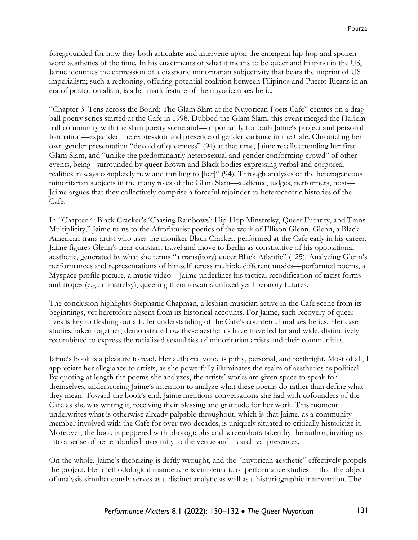foregrounded for how they both articulate and intervene upon the emergent hip-hop and spokenword aesthetics of the time. In his enactments of what it means to be queer and Filipino in the US, Jaime identifies the expression of a diasporic minoritarian subjectivity that bears the imprint of US imperialism; such a reckoning, offering potential coalition between Filipinos and Puerto Ricans in an era of postcolonialism, is a hallmark feature of the nuyorican aesthetic.

"Chapter 3: Tens across the Board: The Glam Slam at the Nuyorican Poets Cafe" centres on a drag ball poetry series started at the Cafe in 1998. Dubbed the Glam Slam, this event merged the Harlem ball community with the slam poetry scene and—importantly for both Jaime's project and personal formation—expanded the expression and presence of gender variance in the Cafe. Chronicling her own gender presentation "devoid of queerness" (94) at that time, Jaime recalls attending her first Glam Slam, and "unlike the predominantly heterosexual and gender conforming crowd" of other events, being "surrounded by queer Brown and Black bodies expressing verbal and corporeal realities in ways completely new and thrilling to [her]" (94). Through analyses of the heterogeneous minoritarian subjects in the many roles of the Glam Slam—audience, judges, performers, host— Jaime argues that they collectively comprise a forceful rejoinder to heterocentric histories of the Cafe.

In "Chapter 4: Black Cracker's 'Chasing Rainbows': Hip-Hop Minstrelsy, Queer Futurity, and Trans Multiplicity," Jaime turns to the Afrofuturist poetics of the work of Ellison Glenn. Glenn, a Black American trans artist who uses the moniker Black Cracker, performed at the Cafe early in his career. Jaime figures Glenn's near-constant travel and move to Berlin as constitutive of his oppositional aesthetic, generated by what she terms "a trans(itory) queer Black Atlantic" (125). Analyzing Glenn's performances and representations of himself across multiple different modes—performed poems, a Myspace profile picture, a music video—Jaime underlines his tactical recodification of racist forms and tropes (e.g., minstrelsy), queering them towards unfixed yet liberatory futures.

The conclusion highlights Stephanie Chapman, a lesbian musician active in the Cafe scene from its beginnings, yet heretofore absent from its historical accounts. For Jaime, such recovery of queer lives is key to fleshing out a fuller understanding of the Cafe's countercultural aesthetics. Her case studies, taken together, demonstrate how these aesthetics have travelled far and wide, distinctively recombined to express the racialized sexualities of minoritarian artists and their communities.

Jaime's book is a pleasure to read. Her authorial voice is pithy, personal, and forthright. Most of all, I appreciate her allegiance to artists, as she powerfully illuminates the realm of aesthetics as political. By quoting at length the poems she analyzes, the artists' works are given space to speak for themselves, underscoring Jaime's intention to analyze what these poems do rather than define what they mean. Toward the book's end, Jaime mentions conversations she had with cofounders of the Cafe as she was writing it, receiving their blessing and gratitude for her work. This moment underwrites what is otherwise already palpable throughout, which is that Jaime, as a community member involved with the Cafe for over two decades, is uniquely situated to critically historicize it. Moreover, the book is peppered with photographs and screenshots taken by the author, inviting us into a sense of her embodied proximity to the venue and its archival presences.

On the whole, Jaime's theorizing is deftly wrought, and the "nuyorican aesthetic" effectively propels the project. Her methodological manoeuvre is emblematic of performance studies in that the object of analysis simultaneously serves as a distinct analytic as well as a historiographic intervention. The